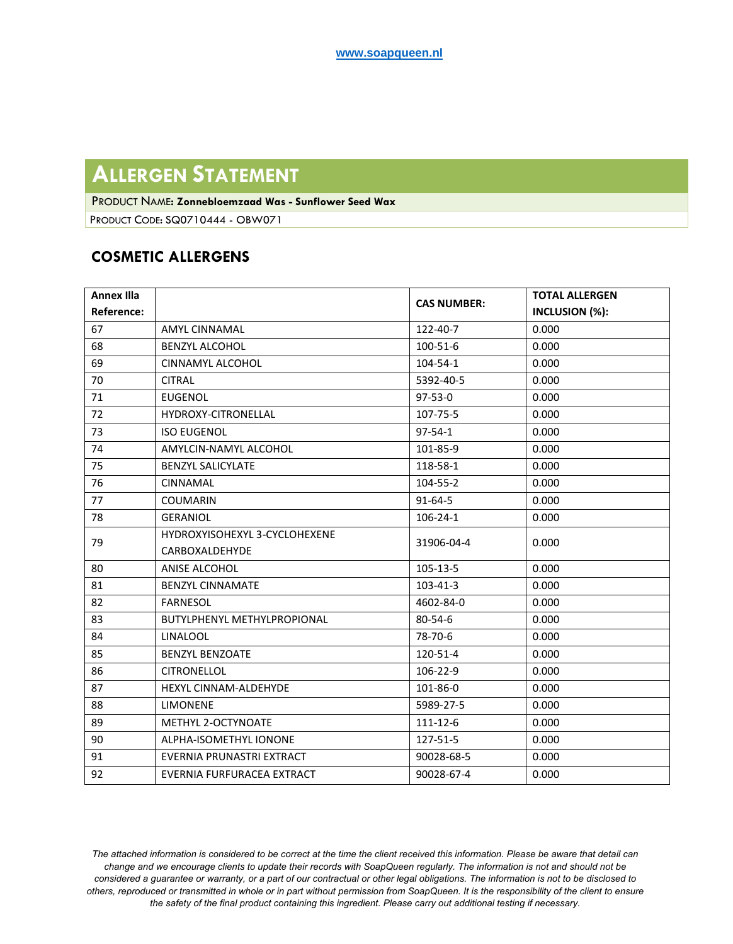## **ALLERGEN STATEMENT**

PRODUCT NAME: **Zonnebloemzaad Was - Sunflower Seed Wax**

PRODUCT CODE: SQ0710444 - OBW071

## **COSMETIC ALLERGENS**

| <b>Annex Illa</b> |                                    | <b>CAS NUMBER:</b> | <b>TOTAL ALLERGEN</b> |
|-------------------|------------------------------------|--------------------|-----------------------|
| Reference:        |                                    |                    | INCLUSION (%):        |
| 67                | <b>AMYL CINNAMAL</b>               | 122-40-7           | 0.000                 |
| 68                | <b>BENZYL ALCOHOL</b>              | 100-51-6           | 0.000                 |
| 69                | <b>CINNAMYL ALCOHOL</b>            | $104 - 54 - 1$     | 0.000                 |
| 70                | <b>CITRAL</b>                      | 5392-40-5          | 0.000                 |
| 71                | <b>EUGENOL</b>                     | $97-53-0$          | 0.000                 |
| 72                | HYDROXY-CITRONELLAL                | 107-75-5           | 0.000                 |
| 73                | <b>ISO EUGENOL</b>                 | $97 - 54 - 1$      | 0.000                 |
| 74                | AMYLCIN-NAMYL ALCOHOL              | 101-85-9           | 0.000                 |
| 75                | <b>BENZYL SALICYLATE</b>           | 118-58-1           | 0.000                 |
| 76                | <b>CINNAMAL</b>                    | $104 - 55 - 2$     | 0.000                 |
| 77                | <b>COUMARIN</b>                    | $91 - 64 - 5$      | 0.000                 |
| 78                | <b>GERANIOL</b>                    | $106 - 24 - 1$     | 0.000                 |
| 79                | HYDROXYISOHEXYL 3-CYCLOHEXENE      | 31906-04-4         | 0.000                 |
|                   | CARBOXALDEHYDE                     |                    |                       |
| 80                | ANISE ALCOHOL                      | $105 - 13 - 5$     | 0.000                 |
| 81                | <b>BENZYL CINNAMATE</b>            | $103 - 41 - 3$     | 0.000                 |
| 82                | <b>FARNESOL</b>                    | 4602-84-0          | 0.000                 |
| 83                | <b>BUTYLPHENYL METHYLPROPIONAL</b> | $80 - 54 - 6$      | 0.000                 |
| 84                | <b>LINALOOL</b>                    | 78-70-6            | 0.000                 |
| 85                | <b>BENZYL BENZOATE</b>             | 120-51-4           | 0.000                 |
| 86                | <b>CITRONELLOL</b>                 | 106-22-9           | 0.000                 |
| 87                | <b>HEXYL CINNAM-ALDEHYDE</b>       | 101-86-0           | 0.000                 |
| 88                | <b>LIMONENE</b>                    | 5989-27-5          | 0.000                 |
| 89                | METHYL 2-OCTYNOATE                 | 111-12-6           | 0.000                 |
| 90                | ALPHA-ISOMETHYL IONONE             | 127-51-5           | 0.000                 |
| 91                | EVERNIA PRUNASTRI EXTRACT          | 90028-68-5         | 0.000                 |
| 92                | EVERNIA FURFURACEA EXTRACT         | 90028-67-4         | 0.000                 |

*The attached information is considered to be correct at the time the client received this information. Please be aware that detail can change and we encourage clients to update their records with SoapQueen regularly. The information is not and should not be considered a guarantee or warranty, or a part of our co[ntractual or other legal](https://www.oand3.com/products/) obligations. The information is not to be disclosed to others, reproduced or transmitted in whole or in part without permission from SoapQueen. It is the responsibility of the client to ensure the safety of the final product containing this ingredient. Please carry out additional testing if necessary.*